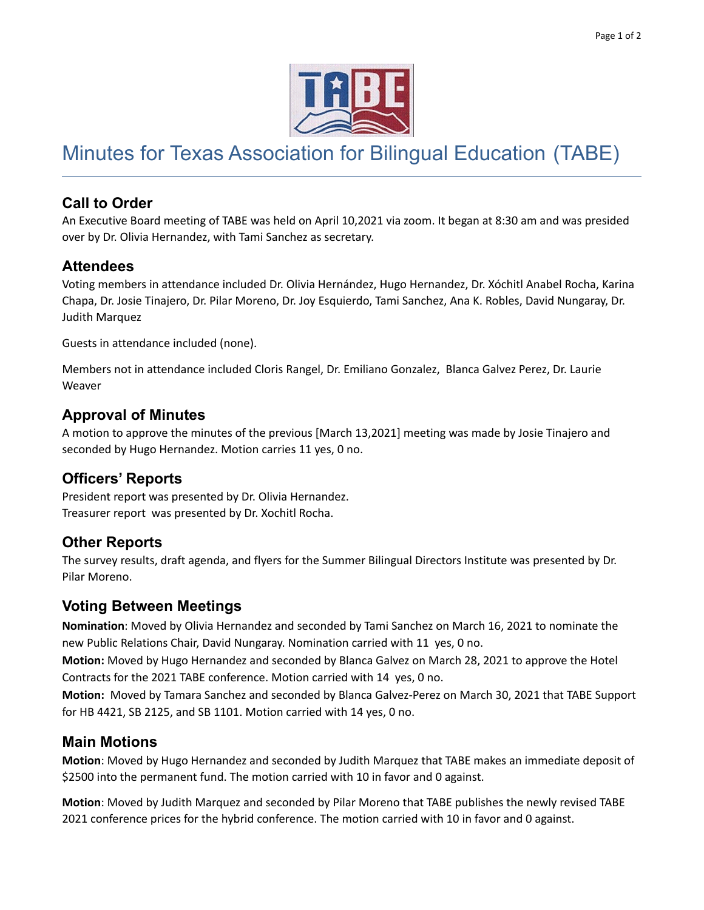

# Minutes for Texas Association for Bilingual Education (TABE)

## **Call to Order**

An Executive Board meeting of TABE was held on April 10,2021 via zoom. It began at 8:30 am and was presided over by Dr. Olivia Hernandez, with Tami Sanchez as secretary.

## **Attendees**

Voting members in attendance included Dr. Olivia Hernández, Hugo Hernandez, Dr. Xóchitl Anabel Rocha, Karina Chapa, Dr. Josie Tinajero, Dr. Pilar Moreno, Dr. Joy Esquierdo, Tami Sanchez, Ana K. Robles, David Nungaray, Dr. Judith Marquez

Guests in attendance included (none).

Members not in attendance included Cloris Rangel, Dr. Emiliano Gonzalez, Blanca Galvez Perez, Dr. Laurie Weaver

#### **Approval of Minutes**

A motion to approve the minutes of the previous [March 13,2021] meeting was made by Josie Tinajero and seconded by Hugo Hernandez. Motion carries 11 yes, 0 no.

## **Officers' Reports**

President report was presented by Dr. Olivia Hernandez. Treasurer report was presented by Dr. Xochitl Rocha.

## **Other Reports**

The survey results, draft agenda, and flyers for the Summer Bilingual Directors Institute was presented by Dr. Pilar Moreno.

## **Voting Between Meetings**

**Nomination**: Moved by Olivia Hernandez and seconded by Tami Sanchez on March 16, 2021 to nominate the new Public Relations Chair, David Nungaray. Nomination carried with 11 yes, 0 no.

**Motion:** Moved by Hugo Hernandez and seconded by Blanca Galvez on March 28, 2021 to approve the Hotel Contracts for the 2021 TABE conference. Motion carried with 14 yes, 0 no.

**Motion:** Moved by Tamara Sanchez and seconded by Blanca Galvez-Perez on March 30, 2021 that TABE Support for HB 4421, SB 2125, and SB 1101. Motion carried with 14 yes, 0 no.

#### **Main Motions**

**Motion**: Moved by Hugo Hernandez and seconded by Judith Marquez that TABE makes an immediate deposit of \$2500 into the permanent fund. The motion carried with 10 in favor and 0 against.

**Motion**: Moved by Judith Marquez and seconded by Pilar Moreno that TABE publishes the newly revised TABE 2021 conference prices for the hybrid conference. The motion carried with 10 in favor and 0 against.